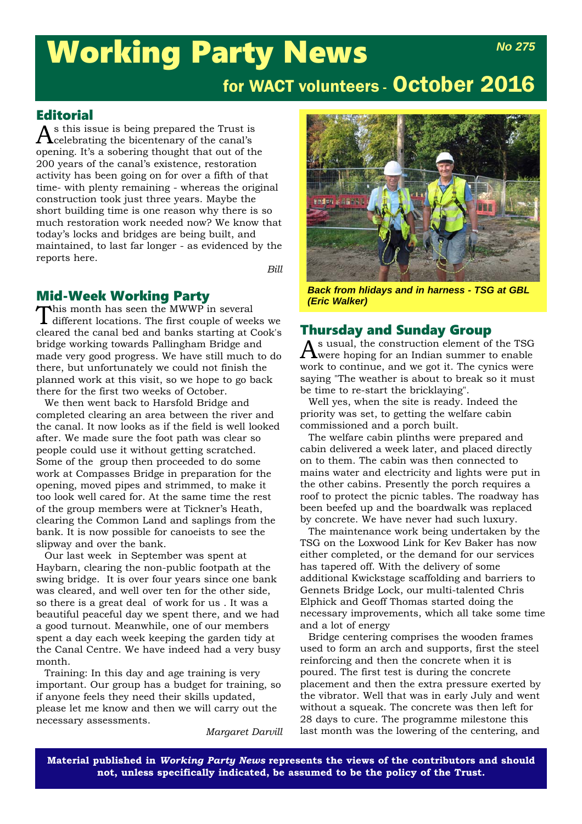### Working Party News *No 275*

### for WACT volunteers - October 2016

### Editorial

 $A$ s this issue is being prepared the Trust is<br>Acelebrating the bicentenary of the canal's celebrating the bicentenary of the canal's opening. It's a sobering thought that out of the 200 years of the canal's existence, restoration activity has been going on for over a fifth of that time- with plenty remaining - whereas the original construction took just three years. Maybe the short building time is one reason why there is so much restoration work needed now? We know that today's locks and bridges are being built, and maintained, to last far longer - as evidenced by the reports here.

*Bill*

## **Mid-Week Working Party**<br>
This month has seen the MWWP in several

This month has seen the MWWP in several<br>different locations. The first couple of weeks we cleared the canal bed and banks starting at Cook's bridge working towards Pallingham Bridge and made very good progress. We have still much to do there, but unfortunately we could not finish the planned work at this visit, so we hope to go back there for the first two weeks of October.

We then went back to Harsfold Bridge and completed clearing an area between the river and the canal. It now looks as if the field is well looked after. We made sure the foot path was clear so people could use it without getting scratched. Some of the group then proceeded to do some work at Compasses Bridge in preparation for the opening, moved pipes and strimmed, to make it too look well cared for. At the same time the rest of the group members were at Tickner's Heath, clearing the Common Land and saplings from the bank. It is now possible for canoeists to see the slipway and over the bank.

Our last week in September was spent at Haybarn, clearing the non-public footpath at the swing bridge. It is over four years since one bank was cleared, and well over ten for the other side, so there is a great deal of work for us . It was a beautiful peaceful day we spent there, and we had a good turnout. Meanwhile, one of our members spent a day each week keeping the garden tidy at the Canal Centre. We have indeed had a very busy month.

Training: In this day and age training is very important. Our group has a budget for training, so if anyone feels they need their skills updated, please let me know and then we will carry out the necessary assessments.

*Margaret Darvill*



*Back from hlidays and in harness - TSG at GBL (Eric Walker)*

# **Thursday and Sunday Group**<br>A s usual, the construction element of the TSG

 $A^{\rm s}$  usual, the construction element of the TSG were hoping for an Indian summer to enable work to continue, and we got it. The cynics were saying "The weather is about to break so it must be time to re-start the bricklaying".

Well yes, when the site is ready. Indeed the priority was set, to getting the welfare cabin commissioned and a porch built.

The welfare cabin plinths were prepared and cabin delivered a week later, and placed directly on to them. The cabin was then connected to mains water and electricity and lights were put in the other cabins. Presently the porch requires a roof to protect the picnic tables. The roadway has been beefed up and the boardwalk was replaced by concrete. We have never had such luxury.

The maintenance work being undertaken by the TSG on the Loxwood Link for Kev Baker has now either completed, or the demand for our services has tapered off. With the delivery of some additional Kwickstage scaffolding and barriers to Gennets Bridge Lock, our multi-talented Chris Elphick and Geoff Thomas started doing the necessary improvements, which all take some time and a lot of energy

Bridge centering comprises the wooden frames used to form an arch and supports, first the steel reinforcing and then the concrete when it is poured. The first test is during the concrete placement and then the extra pressure exerted by the vibrator. Well that was in early July and went without a squeak. The concrete was then left for 28 days to cure. The programme milestone this last month was the lowering of the centering, and

**Material published in** *Working Party News* **represents the views of the contributors and should not, unless specifically indicated, be assumed to be the policy of the Trust.**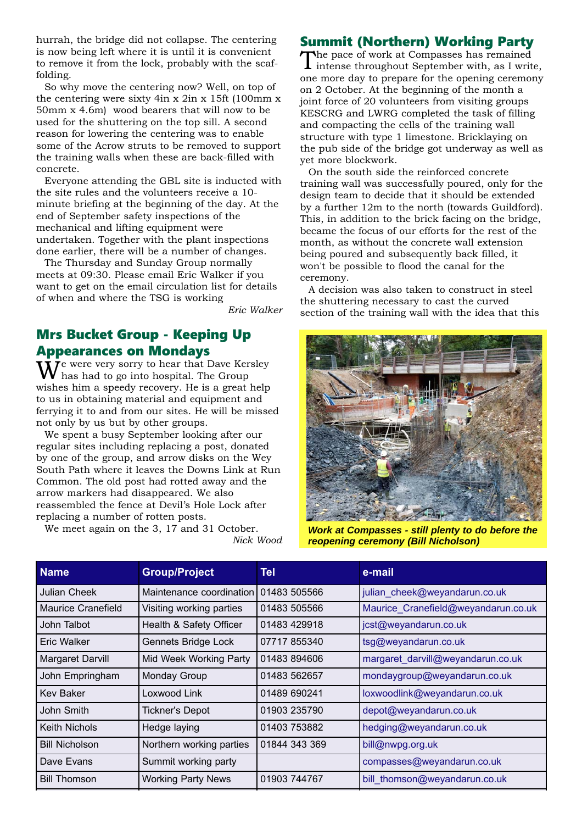hurrah, the bridge did not collapse. The centering is now being left where it is until it is convenient to remove it from the lock, probably with the scaffolding.

So why move the centering now? Well, on top of the centering were sixty 4in x 2in x 15ft (100mm x 50mm x 4.6m) wood bearers that will now to be used for the shuttering on the top sill. A second reason for lowering the centering was to enable some of the Acrow struts to be removed to support the training walls when these are back-filled with concrete.

Everyone attending the GBL site is inducted with the site rules and the volunteers receive a 10 minute briefing at the beginning of the day. At the end of September safety inspections of the mechanical and lifting equipment were undertaken. Together with the plant inspections done earlier, there will be a number of changes.

The Thursday and Sunday Group normally meets at 09:30. Please email Eric Walker if you want to get on the email circulation list for details of when and where the TSG is working

*Eric Walker*

*Nick Wood*

#### Mrs Bucket Group - Keeping Up Appearances on Mondays

 $\dot{\mathbf{W}}$ e were very sorry to hear that Dave Kersley<br>has had to go into hospital. The Group wishes him a speedy recovery. He is a great help to us in obtaining material and equipment and ferrying it to and from our sites. He will be missed not only by us but by other groups.

We spent a busy September looking after our regular sites including replacing a post, donated by one of the group, and arrow disks on the Wey South Path where it leaves the Downs Link at Run Common. The old post had rotted away and the arrow markers had disappeared. We also reassembled the fence at Devil's Hole Lock after replacing a number of rotten posts.

We meet again on the 3, 17 and 31 October.

#### Summit (Northern) Working Party

The pace of work at Compasses has remained intense throughout September with, as I write, one more day to prepare for the opening ceremony on 2 October. At the beginning of the month a joint force of 20 volunteers from visiting groups KESCRG and LWRG completed the task of filling and compacting the cells of the training wall structure with type 1 limestone. Bricklaying on the pub side of the bridge got underway as well as yet more blockwork.

On the south side the reinforced concrete training wall was successfully poured, only for the design team to decide that it should be extended by a further 12m to the north (towards Guildford). This, in addition to the brick facing on the bridge, became the focus of our efforts for the rest of the month, as without the concrete wall extension being poured and subsequently back filled, it won't be possible to flood the canal for the ceremony.

A decision was also taken to construct in steel the shuttering necessary to cast the curved section of the training wall with the idea that this



*Work at Compasses - still plenty to do before the reopening ceremony (Bill Nicholson)*

| <b>Name</b>           | <b>Group/Project</b>      | <b>Tel</b>    | e-mail                              |
|-----------------------|---------------------------|---------------|-------------------------------------|
| <b>Julian Cheek</b>   | Maintenance coordination  | 01483 505566  | julian cheek@weyandarun.co.uk       |
| Maurice Cranefield    | Visiting working parties  | 01483 505566  | Maurice_Cranefield@weyandarun.co.uk |
| John Talbot           | Health & Safety Officer   | 01483 429918  | jcst@weyandarun.co.uk               |
| Eric Walker           | Gennets Bridge Lock       | 07717 855340  | tsg@weyandarun.co.uk                |
| Margaret Darvill      | Mid Week Working Party    | 01483 894606  | margaret_darvill@weyandarun.co.uk   |
| John Empringham       | <b>Monday Group</b>       | 01483 562657  | mondaygroup@weyandarun.co.uk        |
| <b>Key Baker</b>      | Loxwood Link              | 01489 690241  | loxwoodlink@weyandarun.co.uk        |
| John Smith            | <b>Tickner's Depot</b>    | 01903 235790  | depot@weyandarun.co.uk              |
| Keith Nichols         | Hedge laying              | 01403 753882  | hedging@weyandarun.co.uk            |
| <b>Bill Nicholson</b> | Northern working parties  | 01844 343 369 | bill@nwpg.org.uk                    |
| Dave Evans            | Summit working party      |               | compasses@weyandarun.co.uk          |
| <b>Bill Thomson</b>   | <b>Working Party News</b> | 01903 744767  | bill thomson@weyandarun.co.uk       |